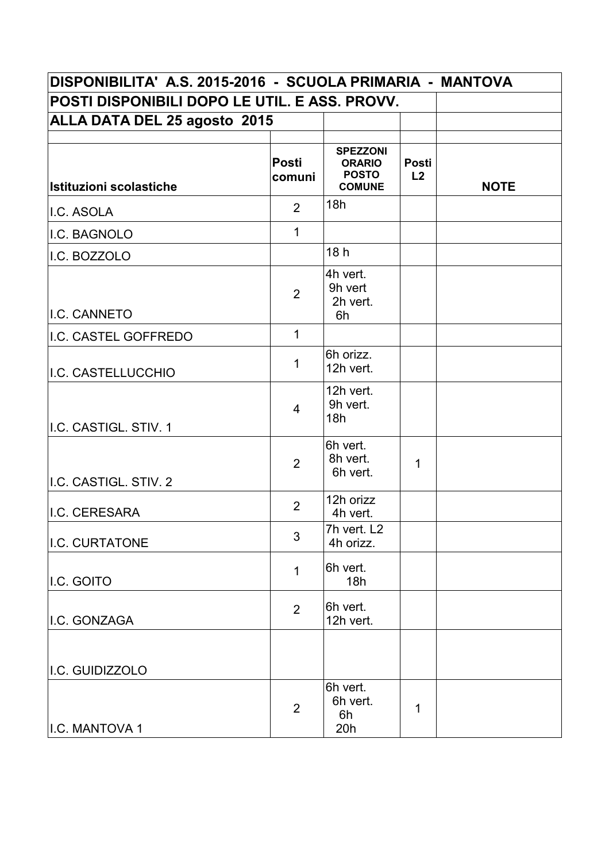| DISPONIBILITA' A.S. 2015-2016 - SCUOLA PRIMARIA - MANTOVA |                        |                                                                   |             |             |  |
|-----------------------------------------------------------|------------------------|-------------------------------------------------------------------|-------------|-------------|--|
| POSTI DISPONIBILI DOPO LE UTIL. E ASS. PROVV.             |                        |                                                                   |             |             |  |
| <b>ALLA DATA DEL 25 agosto 2015</b>                       |                        |                                                                   |             |             |  |
| Istituzioni scolastiche                                   | <b>Posti</b><br>comuni | <b>SPEZZONI</b><br><b>ORARIO</b><br><b>POSTO</b><br><b>COMUNE</b> | Posti<br>L2 | <b>NOTE</b> |  |
| II.C. ASOLA                                               | $\overline{2}$         | 18h                                                               |             |             |  |
| I.C. BAGNOLO                                              | $\mathbf{1}$           |                                                                   |             |             |  |
| I.C. BOZZOLO                                              |                        | 18 <sub>h</sub>                                                   |             |             |  |
| I.C. CANNETO                                              | $\overline{2}$         | 4h vert.<br>9h vert<br>2h vert.<br>6h                             |             |             |  |
| I.C. CASTEL GOFFREDO                                      | $\mathbf{1}$           |                                                                   |             |             |  |
| I.C. CASTELLUCCHIO                                        | $\mathbf 1$            | 6h orizz.<br>12h vert.                                            |             |             |  |
| I.C. CASTIGL. STIV. 1                                     | $\overline{4}$         | 12h vert.<br>9h vert.<br>18h                                      |             |             |  |
| I.C. CASTIGL. STIV. 2                                     | $\overline{2}$         | 6h vert.<br>8h vert.<br>6h vert.                                  | 1           |             |  |
| I.C. CERESARA                                             | $\overline{2}$         | 12h orizz<br>4h vert.                                             |             |             |  |
| I.C. CURTATONE                                            | 3                      | 7h vert. L2<br>4h orizz.                                          |             |             |  |
| I.C. GOITO                                                | $\mathbf{1}$           | 6h vert.<br>18h                                                   |             |             |  |
| I.C. GONZAGA                                              | $\overline{2}$         | 6h vert.<br>12h vert.                                             |             |             |  |
| I.C. GUIDIZZOLO                                           |                        |                                                                   |             |             |  |
| I.C. MANTOVA 1                                            | $\overline{2}$         | 6h vert.<br>6h vert.<br>6h<br>20h                                 | 1           |             |  |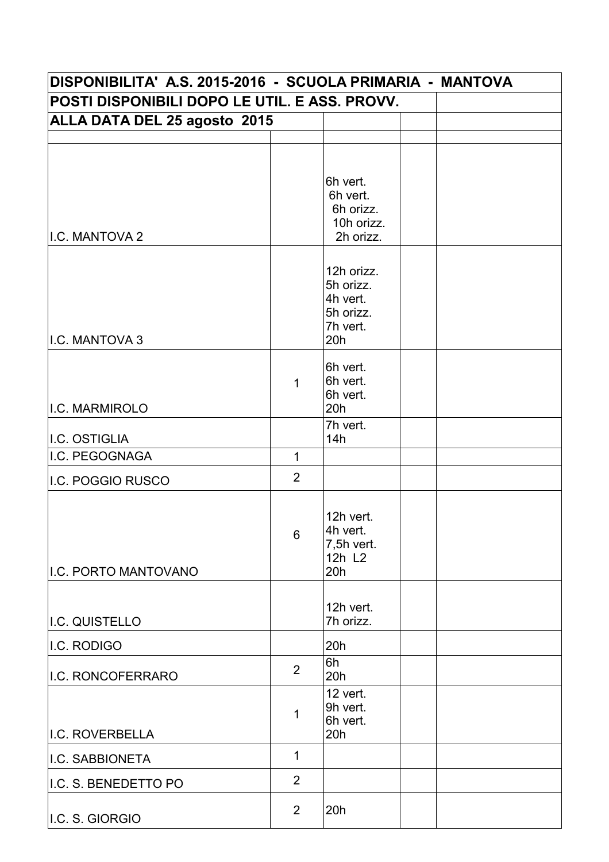| DISPONIBILITA' A.S. 2015-2016 - SCUOLA PRIMARIA - MANTOVA<br>POSTI DISPONIBILI DOPO LE UTIL. E ASS. PROVV. |                |                                                                     |  |  |  |  |
|------------------------------------------------------------------------------------------------------------|----------------|---------------------------------------------------------------------|--|--|--|--|
|                                                                                                            |                |                                                                     |  |  |  |  |
|                                                                                                            |                |                                                                     |  |  |  |  |
| I.C. MANTOVA 2                                                                                             |                | 6h vert.<br>6h vert.<br>6h orizz.<br>10h orizz.<br>2h orizz.        |  |  |  |  |
| I.C. MANTOVA 3                                                                                             |                | 12h orizz.<br>5h orizz.<br>4h vert.<br>5h orizz.<br>7h vert.<br>20h |  |  |  |  |
| I.C. MARMIROLO                                                                                             | 1              | 6h vert.<br>6h vert.<br>6h vert.<br>20h                             |  |  |  |  |
|                                                                                                            |                | 7h vert.                                                            |  |  |  |  |
| I.C. OSTIGLIA                                                                                              |                | 14h                                                                 |  |  |  |  |
| I.C. PEGOGNAGA                                                                                             | $\mathbf{1}$   |                                                                     |  |  |  |  |
| I.C. POGGIO RUSCO                                                                                          | 2              |                                                                     |  |  |  |  |
| I.C. PORTO MANTOVANO                                                                                       | 6              | 12h vert.<br>4h vert.<br>7,5h vert.<br>12h L <sub>2</sub><br>20h    |  |  |  |  |
| I.C. QUISTELLO                                                                                             |                | 12h vert.<br>7h orizz.                                              |  |  |  |  |
| I.C. RODIGO                                                                                                |                | 20h                                                                 |  |  |  |  |
| I.C. RONCOFERRARO                                                                                          | $\overline{2}$ | 6h<br>20h                                                           |  |  |  |  |
| I.C. ROVERBELLA                                                                                            | 1              | 12 vert.<br>9h vert.<br>6h vert.<br>20h                             |  |  |  |  |
| I.C. SABBIONETA                                                                                            | 1              |                                                                     |  |  |  |  |
| I.C. S. BENEDETTO PO                                                                                       | $\overline{2}$ |                                                                     |  |  |  |  |
| I.C. S. GIORGIO                                                                                            | $\overline{2}$ | 20h                                                                 |  |  |  |  |